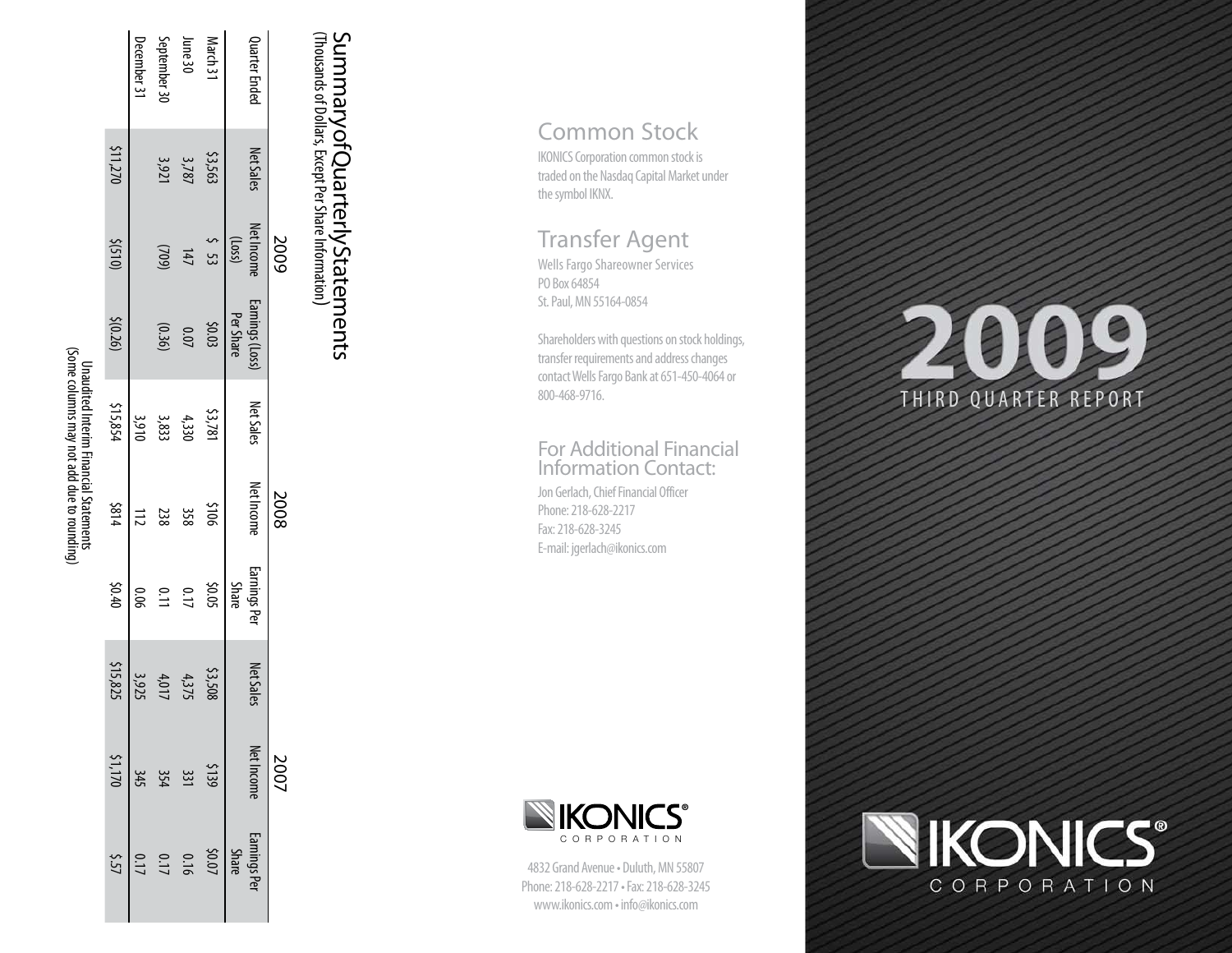| <b>Unaudited Interim Financial Statements</b><br>Net Income<br><b>2008</b><br>\$814<br>301\$<br>358<br>112<br>238<br><b>Earnings Per</b><br><b>Share</b><br>070\$<br>5005<br>0.06<br>0.11<br>0.17<br><b>Net Sales</b><br>\$15,825<br>\$3,508<br>4,375<br>3,925<br>4,017<br>Net Income Earnings Pe<br>$rac{345}{51,170}$<br>\$139<br>354<br>$60.07$<br>0.16<br>0.17<br><b>Share</b> | Net Sales<br>\$15,854<br>\$3,781<br>3,910<br>3,833<br>4,330 | <b>Earnings (Loss)</b><br>Per Share<br>\$(0.26)<br>\$0.03<br>(0.36)<br>$0.07$ | <b>Net Income</b><br>$\zeta$ 53<br>(1055)<br>5002<br>$(015)$ \$<br>(602)<br>147 | 211,270<br>Net Sales<br>\$3,563<br>3,787<br>3,921 | Quarter Ended<br>September 30<br>June 30<br>March 31<br>December 31 |
|------------------------------------------------------------------------------------------------------------------------------------------------------------------------------------------------------------------------------------------------------------------------------------------------------------------------------------------------------------------------------------|-------------------------------------------------------------|-------------------------------------------------------------------------------|---------------------------------------------------------------------------------|---------------------------------------------------|---------------------------------------------------------------------|
|------------------------------------------------------------------------------------------------------------------------------------------------------------------------------------------------------------------------------------------------------------------------------------------------------------------------------------------------------------------------------------|-------------------------------------------------------------|-------------------------------------------------------------------------------|---------------------------------------------------------------------------------|---------------------------------------------------|---------------------------------------------------------------------|

# SummaryofQuarterlyStatements<br>(Thousands of Dollars, Except Per Share Information) (Thousands of Dollars, Except Per Share Information **Summary of Quarterly Statements<br>Summary of Quarterly Statements**

IKONICS Corporation common stock is traded on the Nasdaq Capital Market under the symbol IKNX.

## Transfer Agent

Wells Fargo Shareowner Services PO Box 64854 St. Paul, MN 55164-0854

COMMONIS Corporation common stock traded on the Nasdaq Capital Market<br>traded on the Nasdaq Capital Market<br>the symbol IKNX.<br>
Transfer Agent<br>
Wells Fargo Shareowner Services<br>
PO Box 64854<br>
St. Paul, MN 55164-0854<br>
Shareholde Shareholders with questions on stock holdings, transfer requirements and address changes contact Wells Fargo Bank at 651-450-4064 or 800-468-9716.

## For Additional Financial Information Contact:

Jon Gerlach, Chief Financial Officer Phone: 218-628-2217 Fax: 218-628-3245 E-mail: jgerlach@ikonics.com



4832 Grand Avenue • Duluth, MN 55807 Phone: 218-628-2217 • Fax: 218-628-3245

# $\bullet$ 4918 THIRD QUARTER REPORT